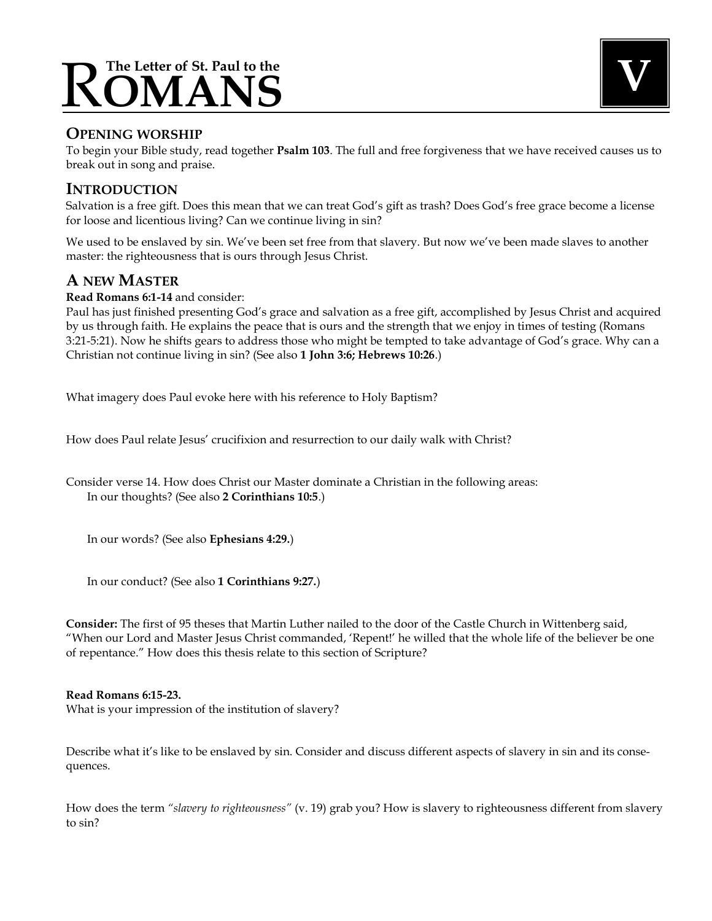# $\bf{ROMANS}$

## **OPENING WORSHIP**

To begin your Bible study, read together **Psalm 103**. The full and free forgiveness that we have received causes us to break out in song and praise.

## **INTRODUCTION**

Salvation is a free gift. Does this mean that we can treat God's gift as trash? Does God's free grace become a license for loose and licentious living? Can we continue living in sin?

We used to be enslaved by sin. We've been set free from that slavery. But now we've been made slaves to another master: the righteousness that is ours through Jesus Christ.

## **A NEW MASTER**

#### **Read Romans 6:1-14** and consider:

Paul has just finished presenting God's grace and salvation as a free gift, accomplished by Jesus Christ and acquired by us through faith. He explains the peace that is ours and the strength that we enjoy in times of testing (Romans 3:21-5:21). Now he shifts gears to address those who might be tempted to take advantage of God's grace. Why can a Christian not continue living in sin? (See also **1 John 3:6; Hebrews 10:26**.)

What imagery does Paul evoke here with his reference to Holy Baptism?

How does Paul relate Jesus' crucifixion and resurrection to our daily walk with Christ?

Consider verse 14. How does Christ our Master dominate a Christian in the following areas: In our thoughts? (See also **2 Corinthians 10:5**.)

In our words? (See also **Ephesians 4:29.**)

In our conduct? (See also **1 Corinthians 9:27.**)

**Consider:** The first of 95 theses that Martin Luther nailed to the door of the Castle Church in Wittenberg said, "When our Lord and Master Jesus Christ commanded, 'Repent!' he willed that the whole life of the believer be one of repentance." How does this thesis relate to this section of Scripture?

#### **Read Romans 6:15-23.**

What is your impression of the institution of slavery?

Describe what it's like to be enslaved by sin. Consider and discuss different aspects of slavery in sin and its consequences.

How does the term *"slavery to righteousness"* (v. 19) grab you? How is slavery to righteousness different from slavery to sin?